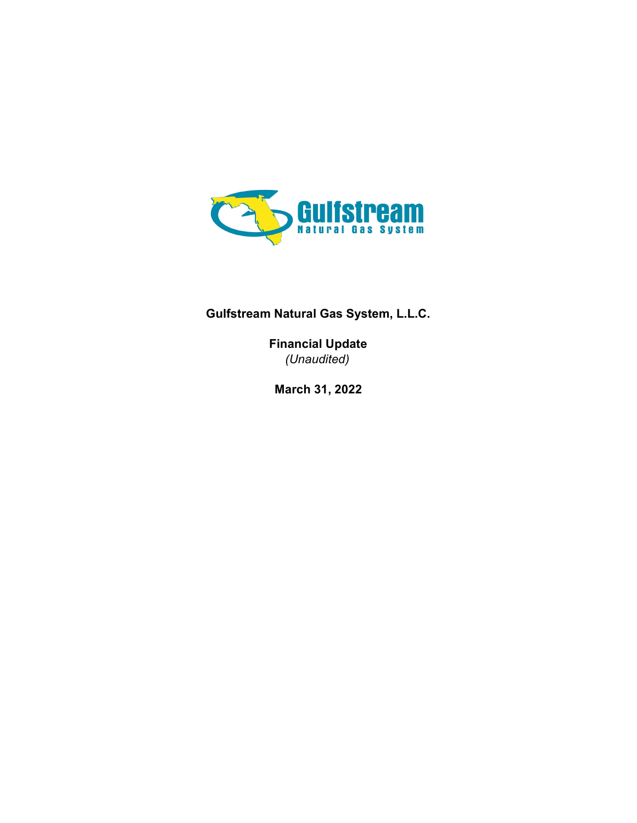

## Gulfstream Natural Gas System, L.L.C.

Financial Update (Unaudited)

March 31, 2022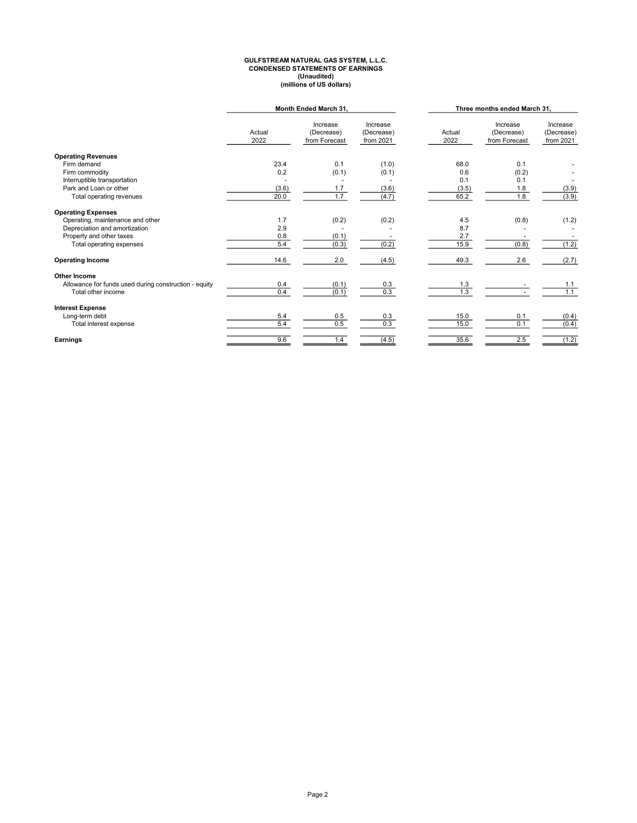# GULFSTREAM NATURAL GAS SYSTEM, L.L.C.<br>CONDENSED STATEMENTS OF EARNINGS<br>(Unaudited)<br>millions of US dollars)

|                                                       | Month Ended March 31, |                                         |                                     | Three months ended March 31, |                                         |                                     |
|-------------------------------------------------------|-----------------------|-----------------------------------------|-------------------------------------|------------------------------|-----------------------------------------|-------------------------------------|
|                                                       | Actual<br>2022        | Increase<br>(Decrease)<br>from Forecast | Increase<br>(Decrease)<br>from 2021 | Actual<br>2022               | Increase<br>(Decrease)<br>from Forecast | Increase<br>(Decrease)<br>from 2021 |
| <b>Operating Revenues</b>                             |                       |                                         |                                     |                              |                                         |                                     |
| Firm demand                                           | 23.4                  | 0.1                                     | (1.0)                               | 68.0                         | 0.1                                     |                                     |
| Firm commodity                                        | 0.2                   | (0.1)                                   | (0.1)                               | 0.6                          | (0.2)                                   |                                     |
| Interruptible transportation                          |                       |                                         |                                     | 0.1                          | 0.1                                     |                                     |
| Park and Loan or other                                | (3.6)                 | 1.7                                     | (3.6)                               | (3.5)                        | 1.8                                     | (3.9)                               |
| Total operating revenues                              | 20.0                  | 1.7                                     | (4.7)                               | 65.2                         | 1.8                                     | (3.9)                               |
| <b>Operating Expenses</b>                             |                       |                                         |                                     |                              |                                         |                                     |
| Operating, maintenance and other                      | 1.7                   | (0.2)                                   | (0.2)                               | 4.5                          | (0.8)                                   | (1.2)                               |
| Depreciation and amortization                         | 2.9                   |                                         |                                     | 8.7                          |                                         |                                     |
| Property and other taxes                              | 0.8                   | (0.1)                                   |                                     | 2.7                          |                                         |                                     |
| Total operating expenses                              | 5.4                   | (0.3)                                   | (0.2)                               | 15.9                         | (0.8)                                   | (1.2)                               |
| <b>Operating Income</b>                               | 14.6                  | 2.0                                     | (4.5)                               | 49.3                         | 2.6                                     | (2.7)                               |
| Other Income                                          |                       |                                         |                                     |                              |                                         |                                     |
| Allowance for funds used during construction - equity | 0.4                   | (0.1)                                   | 0.3                                 | 1.3                          |                                         | 1.1                                 |
| Total other income                                    | 0.4                   | (0.1)                                   | 0.3                                 | 1.3                          |                                         | 1.1                                 |
| <b>Interest Expense</b>                               |                       |                                         |                                     |                              |                                         |                                     |
| Long-term debt                                        | 5.4                   | 0.5                                     | 0.3                                 | 15.0                         | 0.1                                     | (0.4)                               |
| Total interest expense                                | 5.4                   | 0.5                                     | 0.3                                 | 15.0                         | 0.1                                     | (0.4)                               |
| Earnings                                              | 9.6                   | 1.4                                     | (4.5)                               | 35.6                         | 2.5                                     | (1.2)                               |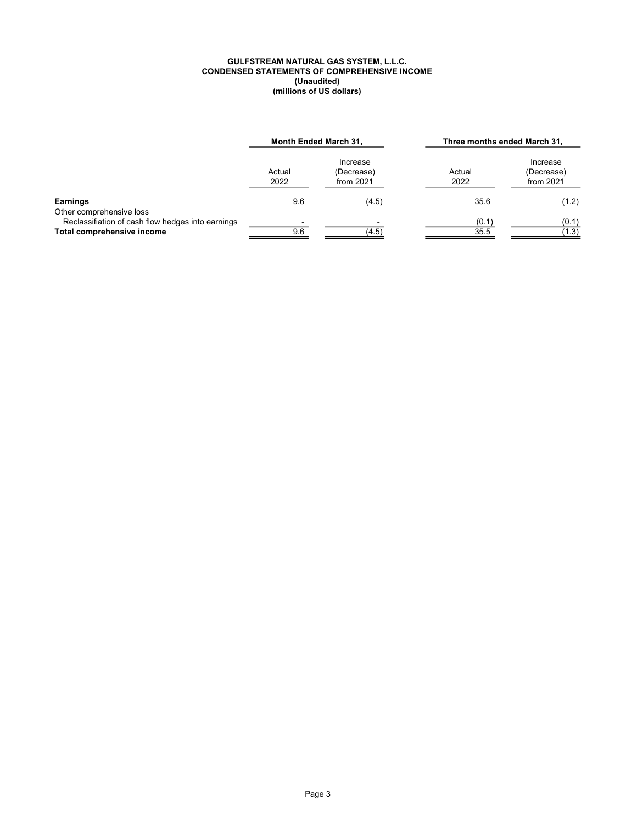#### GULFSTREAM NATURAL GAS SYSTEM, L.L.C. CONDENSED STATEMENTS OF COMPREHENSIVE INCOME (Unaudited) (millions of US dollars)

|                                                                                                             | Month Ended March 31, |                                     | Three months ended March 31, |                                     |  |
|-------------------------------------------------------------------------------------------------------------|-----------------------|-------------------------------------|------------------------------|-------------------------------------|--|
|                                                                                                             | Actual<br>2022        | Increase<br>(Decrease)<br>from 2021 | Actual<br>2022               | Increase<br>(Decrease)<br>from 2021 |  |
| Earnings                                                                                                    | 9.6                   | (4.5)                               | 35.6                         | (1.2)                               |  |
| Other comprehensive loss<br>Reclassifiation of cash flow hedges into earnings<br>Total comprehensive income | 9.6                   | (4.5)                               | (0.1)<br>35.5                | (0.1)<br>(1.3)                      |  |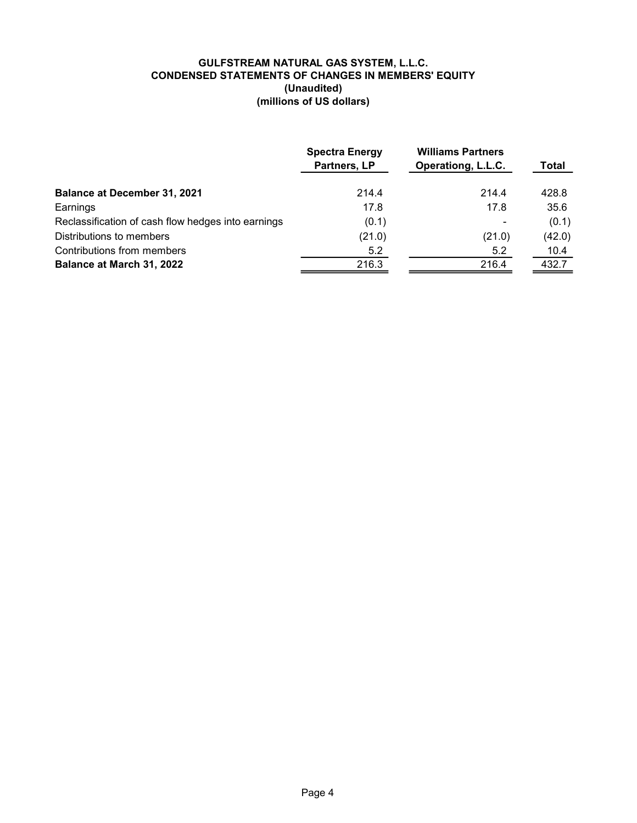### GULFSTREAM NATURAL GAS SYSTEM, L.L.C. CONDENSED STATEMENTS OF CHANGES IN MEMBERS' EQUITY (Unaudited) (millions of US dollars)

|                                                    | <b>Spectra Energy</b><br>Partners, LP | <b>Williams Partners</b><br>Operationg, L.L.C. | Total  |
|----------------------------------------------------|---------------------------------------|------------------------------------------------|--------|
| <b>Balance at December 31, 2021</b>                | 214.4                                 | 214.4                                          | 428.8  |
| Earnings                                           | 17.8                                  | 17.8                                           | 35.6   |
| Reclassification of cash flow hedges into earnings | (0.1)                                 |                                                | (0.1)  |
| Distributions to members                           | (21.0)                                | (21.0)                                         | (42.0) |
| Contributions from members                         | 5.2                                   | 5.2                                            | 10.4   |
| Balance at March 31, 2022                          | 216.3                                 | 216.4                                          | 432.7  |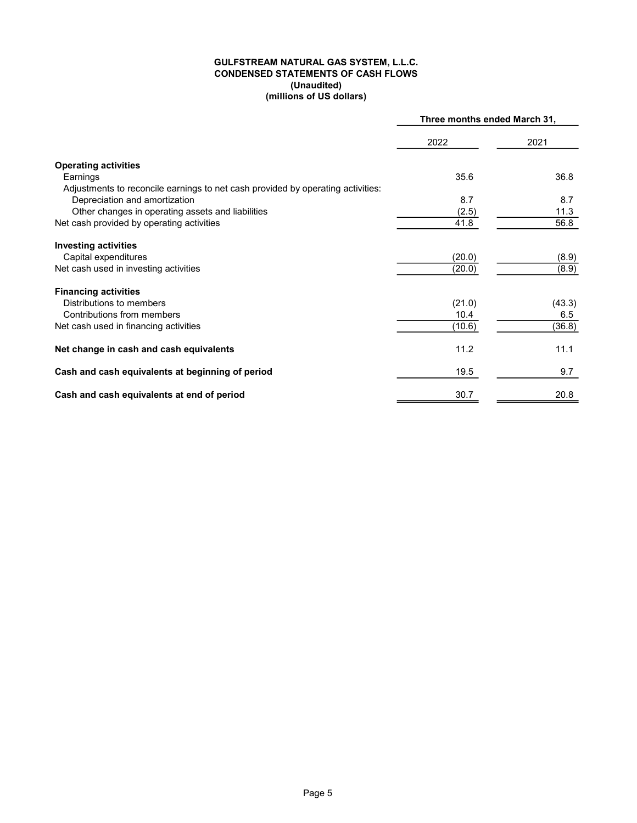#### GULFSTREAM NATURAL GAS SYSTEM, L.L.C. CONDENSED STATEMENTS OF CASH FLOWS (millions of US dollars) (Unaudited)

|                                                                                 | Three months ended March 31, |        |  |
|---------------------------------------------------------------------------------|------------------------------|--------|--|
|                                                                                 | 2022                         | 2021   |  |
| <b>Operating activities</b>                                                     |                              |        |  |
| Earnings                                                                        | 35.6                         | 36.8   |  |
| Adjustments to reconcile earnings to net cash provided by operating activities: |                              |        |  |
| Depreciation and amortization                                                   | 8.7                          | 8.7    |  |
| Other changes in operating assets and liabilities                               | (2.5)                        | 11.3   |  |
| Net cash provided by operating activities                                       | 41.8                         | 56.8   |  |
| <b>Investing activities</b>                                                     |                              |        |  |
| Capital expenditures                                                            | (20.0)                       | (8.9)  |  |
| Net cash used in investing activities                                           | (20.0)                       | (8.9)  |  |
| <b>Financing activities</b>                                                     |                              |        |  |
| Distributions to members                                                        | (21.0)                       | (43.3) |  |
| Contributions from members                                                      | 10.4                         | 6.5    |  |
| Net cash used in financing activities                                           | (10.6)                       | (36.8) |  |
| Net change in cash and cash equivalents                                         | 11.2                         | 11.1   |  |
| Cash and cash equivalents at beginning of period                                | 19.5                         | 9.7    |  |
| Cash and cash equivalents at end of period                                      | 30.7                         | 20.8   |  |